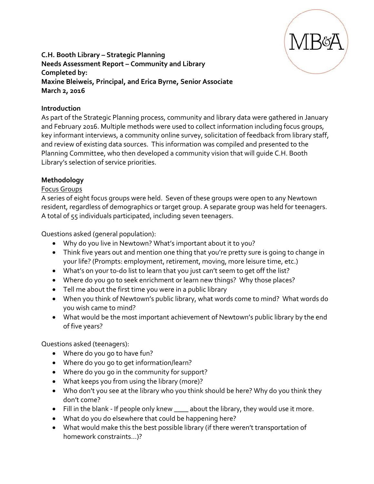

### **C.H. Booth Library – Strategic Planning Needs Assessment Report – Community and Library Completed by: Maxine Bleiweis, Principal, and Erica Byrne, Senior Associate March 2, 2016**

### **Introduction**

As part of the Strategic Planning process, community and library data were gathered in January and February 2016. Multiple methods were used to collect information including focus groups, key informant interviews, a community online survey, solicitation of feedback from library staff, and review of existing data sources. This information was compiled and presented to the Planning Committee, who then developed a community vision that will guide C.H. Booth Library's selection of service priorities.

### **Methodology**

### Focus Groups

A series of eight focus groups were held. Seven of these groups were open to any Newtown resident, regardless of demographics or target group. A separate group was held for teenagers. A total of 55 individuals participated, including seven teenagers.

Questions asked (general population):

- Why do you live in Newtown? What's important about it to you?
- Think five years out and mention one thing that you're pretty sure is going to change in your life? (Prompts: employment, retirement, moving, more leisure time, etc.)
- What's on your to-do list to learn that you just can't seem to get off the list?
- Where do you go to seek enrichment or learn new things? Why those places?
- Tell me about the first time you were in a public library
- When you think of Newtown's public library, what words come to mind? What words do you wish came to mind?
- What would be the most important achievement of Newtown's public library by the end of five years?

Questions asked (teenagers):

- Where do you go to have fun?
- Where do you go to get information/learn?
- Where do you go in the community for support?
- What keeps you from using the library (more)?
- Who don't you see at the library who you think should be here? Why do you think they don't come?
- Fill in the blank If people only knew \_\_\_\_ about the library, they would use it more.
- What do you do elsewhere that could be happening here?
- What would make this the best possible library (if there weren't transportation of homework constraints…)?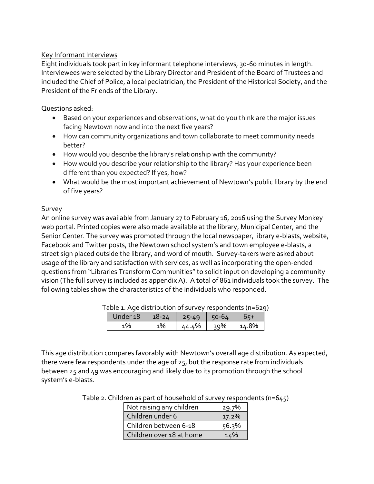### Key Informant Interviews

Eight individuals took part in key informant telephone interviews, 30-60 minutes in length. Interviewees were selected by the Library Director and President of the Board of Trustees and included the Chief of Police, a local pediatrician, the President of the Historical Society, and the President of the Friends of the Library.

Questions asked:

- Based on your experiences and observations, what do you think are the major issues facing Newtown now and into the next five years?
- How can community organizations and town collaborate to meet community needs better?
- How would you describe the library's relationship with the community?
- How would you describe your relationship to the library? Has your experience been different than you expected? If yes, how?
- What would be the most important achievement of Newtown's public library by the end of five years?

# Survey

An online survey was available from January 27 to February 16, 2016 using the Survey Monkey web portal. Printed copies were also made available at the library, Municipal Center, and the Senior Center. The survey was promoted through the local newspaper, library e-blasts, website, Facebook and Twitter posts, the Newtown school system's and town employee e-blasts, a street sign placed outside the library, and word of mouth. Survey-takers were asked about usage of the library and satisfaction with services, as well as incorporating the open-ended questions from "Libraries Transform Communities" to solicit input on developing a community vision (The full survey is included as appendix A). A total of 861 individuals took the survey. The following tables show the characteristics of the individuals who responded.

| able 1. Age distribution of survey respondents (n=629 |           |           |         |       |  |  |  |
|-------------------------------------------------------|-----------|-----------|---------|-------|--|--|--|
| Under 18                                              | $18 - 24$ | $25 - 49$ | $50-64$ | $65+$ |  |  |  |
| 1%                                                    | 1%        | 44.4%     | 39%     | 14.8% |  |  |  |

Table 1. Age distribution of survey respondents (n=629)

This age distribution compares favorably with Newtown's overall age distribution. As expected, there were few respondents under the age of 25, but the response rate from individuals between 25 and 49 was encouraging and likely due to its promotion through the school system's e-blasts.

|  |  |  | Table 2. Children as part of household of survey respondents (n=645) |
|--|--|--|----------------------------------------------------------------------|
|--|--|--|----------------------------------------------------------------------|

| Not raising any children | 29.7% |
|--------------------------|-------|
| Children under 6         | 17.2% |
| Children between 6-18    | 56.3% |
| Children over 18 at home | 14%   |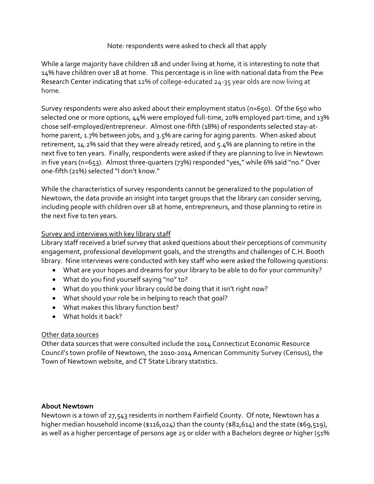### Note: respondents were asked to check all that apply

While a large majority have children 18 and under living at home, it is interesting to note that 14% have children over 18 at home. This percentage is in line with national data from the Pew Research Center indicating that 12% of college-educated 24-35 year olds are now living at home.

Survey respondents were also asked about their employment status (n=650). Of the 650 who selected one or more options, 44% were employed full-time, 20% employed part-time, and 13% chose self-employed/entrepreneur. Almost one-fifth (18%) of respondents selected stay-athome parent, 1.7% between jobs, and 3.5% are caring for aging parents. When asked about retirement, 14.2% said that they were already retired, and 5.4% are planning to retire in the next five to ten years. Finally, respondents were asked if they are planning to live in Newtown in five years (n=653). Almost three-quarters (73%) responded "yes," while 6% said "no." Over one-fifth (21%) selected "I don't know."

While the characteristics of survey respondents cannot be generalized to the population of Newtown, the data provide an insight into target groups that the library can consider serving, including people with children over 18 at home, entrepreneurs, and those planning to retire in the next five to ten years.

### Survey and interviews with key library staff

Library staff received a brief survey that asked questions about their perceptions of community engagement, professional development goals, and the strengths and challenges of C.H. Booth library. Nine interviews were conducted with key staff who were asked the following questions:

- What are your hopes and dreams for your library to be able to do for your community?
- What do you find yourself saying "no" to?
- What do you think your library could be doing that it isn't right now?
- What should your role be in helping to reach that goal?
- What makes this library function best?
- What holds it back?

### Other data sources

Other data sources that were consulted include the 2014 Connecticut Economic Resource Council's town profile of Newtown, the 2010-2014 American Community Survey (Census), the Town of Newtown website, and CT State Library statistics.

### **About Newtown**

Newtown is a town of 27,543 residents in northern Fairfield County. Of note, Newtown has a higher median household income (\$116,024) than the county (\$82,614) and the state (\$69,519), as well as a higher percentage of persons age 25 or older with a Bachelors degree or higher (51%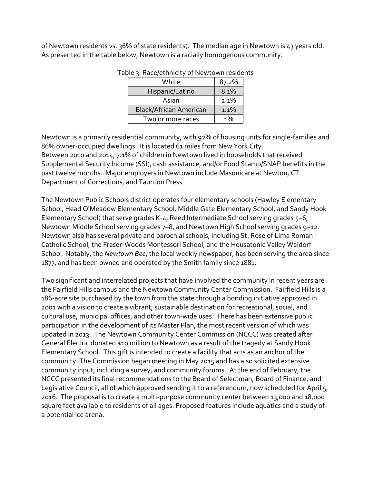of Newtown residents vs. 36% of state residents). The median age in Newtown is 43 years old. As presented in the table below, Newtown is a racially homogenous community.

| White                         | 87.2% |
|-------------------------------|-------|
| Hispanic/Latino               | 8.1%  |
| Asian                         | 2.1%  |
| <b>Black/African American</b> | 1.1%  |
| Two or more races             | 1%    |

#### Table 3. Race/ethnicity of Newtown residents

Newtown is a primarily residential community, with 92% of housing units for single-families and 86% owner-occupied dwellings. It is located 61 miles from New York City. Between 2010 and 2014, 7.1% of children in Newtown lived in households that received Supplemental Security Income (SSI), cash assistance, and/or Food Stamp/SNAP benefits in the past twelve months. Major employers in Newtown include Masonicare at Newton, CT Department of Corrections, and Taunton Press.

The Newtown Public Schools district operates four elementary schools (Hawley Elementary School, Head O'Meadow Elementary School, Middle Gate Elementary School, and Sandy Hook Elementary School) that serve grades K-4, Reed Intermediate School serving grades  $5-6$ , Newtown Middle School serving grades 7–8, and Newtown High School serving grades 9–12. Newtown also has several private and parochial schools, including St. Rose of Lima Roman Catholic School, the Fraser-Woods Montessori School, and the Housatonic Valley Waldorf School. Notably, the *Newtown Bee*, the local weekly newspaper, has been serving the area since 1877, and has been owned and operated by the Smith family since 1881.

Two significant and interrelated projects that have involved the community in recent years are the Fairfield Hills campus and the Newtown Community Center Commission. Fairfield Hills is a 186-acre site purchased by the town from the state through a bonding initiative approved in 2001 with a vision to create a vibrant, sustainable destination for recreational, social, and cultural use, municipal offices, and other town-wide uses. There has been extensive public participation in the development of its Master Plan, the most recent version of which was updated in 2013. The Newtown Community Center Commission (NCCC) was created after General Electric donated \$10 million to Newtown as a result of the tragedy at Sandy Hook Elementary School. This gift is intended to create a facility that acts as an anchor of the community. The Commission began meeting in May 2015 and has also solicited extensive community input, including a survey, and community forums. At the end of February, the NCCC presented its final recommendations to the Board of Selectman, Board of Finance, and Legislative Council, all of which approved sending it to a referendum, now scheduled for April 5, 2016. The proposal is to create a multi-purpose community center between 13,000 and 18,000 square feet available to residents of all ages. Proposed features include aquatics and a study of a potential ice arena.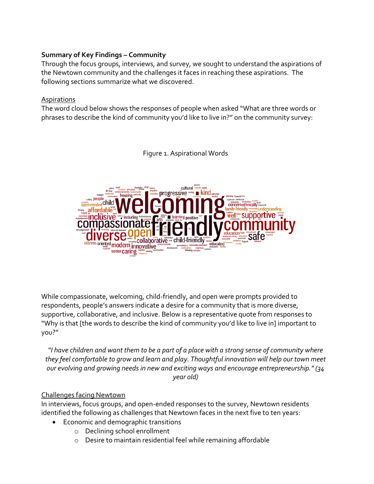### **Summary of Key Findings – Community**

Through the focus groups, interviews, and survey, we sought to understand the aspirations of the Newtown community and the challenges it faces in reaching these aspirations. The following sections summarize what we discovered.

### Aspirations

The word cloud below shows the responses of people when asked "What are three words or phrases to describe the kind of community you'd like to live in?" on the community survey:

Figure 1. Aspirational Words



While compassionate, welcoming, child-friendly, and open were prompts provided to respondents, people's answers indicate a desire for a community that is more diverse, supportive, collaborative, and inclusive. Below is a representative quote from responses to "Why is that [the words to describe the kind of community you'd like to live in] important to you?"

*"I have children and want them to be a part of a place with a strong sense of community where they feel comfortable to grow and learn and play. Thoughtful innovation will help our town meet our evolving and growing needs in new and exciting ways and encourage entrepreneurship." (34 year old)*

# Challenges facing Newtown

In interviews, focus groups, and open-ended responses to the survey, Newtown residents identified the following as challenges that Newtown faces in the next five to ten years:

- Economic and demographic transitions
	- o Declining school enrollment
	- o Desire to maintain residential feel while remaining affordable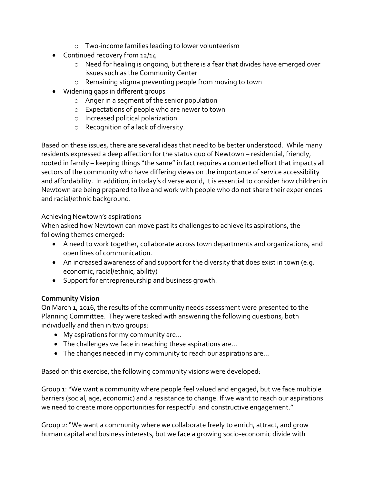- o Two-income families leading to lower volunteerism
- Continued recovery from 12/14
	- o Need for healing is ongoing, but there is a fear that divides have emerged over issues such as the Community Center
	- o Remaining stigma preventing people from moving to town
- Widening gaps in different groups
	- o Anger in a segment of the senior population
	- o Expectations of people who are newer to town
	- o Increased political polarization
	- o Recognition of a lack of diversity.

Based on these issues, there are several ideas that need to be better understood. While many residents expressed a deep affection for the status quo of Newtown – residential, friendly, rooted in family – keeping things "the same" in fact requires a concerted effort that impacts all sectors of the community who have differing views on the importance of service accessibility and affordability. In addition, in today's diverse world, it is essential to consider how children in Newtown are being prepared to live and work with people who do not share their experiences and racial/ethnic background.

# Achieving Newtown's aspirations

When asked how Newtown can move past its challenges to achieve its aspirations, the following themes emerged:

- A need to work together, collaborate across town departments and organizations, and open lines of communication.
- An increased awareness of and support for the diversity that does exist in town (e.g. economic, racial/ethnic, ability)
- Support for entrepreneurship and business growth.

# **Community Vision**

On March 1, 2016, the results of the community needs assessment were presented to the Planning Committee. They were tasked with answering the following questions, both individually and then in two groups:

- My aspirations for my community are...
- The challenges we face in reaching these aspirations are...
- The changes needed in my community to reach our aspirations are...

Based on this exercise, the following community visions were developed:

Group 1: "We want a community where people feel valued and engaged, but we face multiple barriers (social, age, economic) and a resistance to change. If we want to reach our aspirations we need to create more opportunities for respectful and constructive engagement."

Group 2: "We want a community where we collaborate freely to enrich, attract, and grow human capital and business interests, but we face a growing socio-economic divide with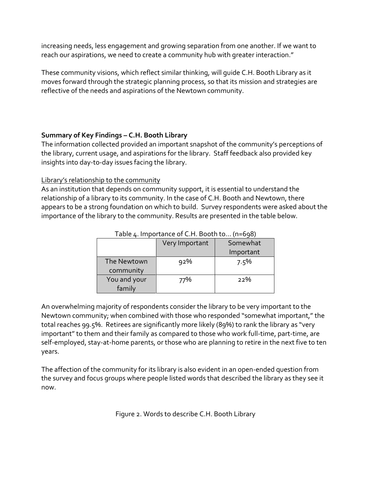increasing needs, less engagement and growing separation from one another. If we want to reach our aspirations, we need to create a community hub with greater interaction."

These community visions, which reflect similar thinking, will guide C.H. Booth Library as it moves forward through the strategic planning process, so that its mission and strategies are reflective of the needs and aspirations of the Newtown community.

# **Summary of Key Findings – C.H. Booth Library**

The information collected provided an important snapshot of the community's perceptions of the library, current usage, and aspirations for the library. Staff feedback also provided key insights into day-to-day issues facing the library.

### Library's relationship to the community

As an institution that depends on community support, it is essential to understand the relationship of a library to its community. In the case of C.H. Booth and Newtown, there appears to be a strong foundation on which to build. Survey respondents were asked about the importance of the library to the community. Results are presented in the table below.

|                          | Very Important | Somewhat  |
|--------------------------|----------------|-----------|
|                          |                | Important |
| The Newtown<br>community | 92%            | 7.5%      |
| You and your<br>family   | 77%            | 22%       |

### Table 4. Importance of C.H. Booth to... (n=698)

An overwhelming majority of respondents consider the library to be very important to the Newtown community; when combined with those who responded "somewhat important," the total reaches 99.5%. Retirees are significantly more likely (89%) to rank the library as "very important" to them and their family as compared to those who work full-time, part-time, are self-employed, stay-at-home parents, or those who are planning to retire in the next five to ten years.

The affection of the community for its library is also evident in an open-ended question from the survey and focus groups where people listed words that described the library as they see it now.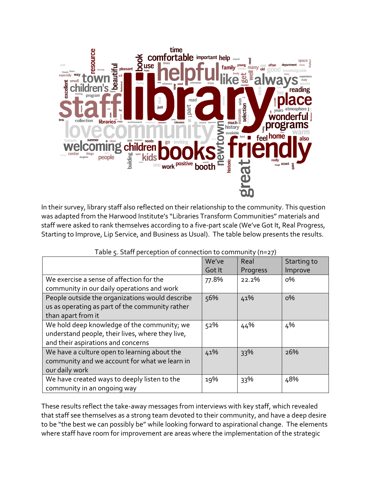

In their survey, library staff also reflected on their relationship to the community. This question was adapted from the Harwood Institute's "Libraries Transform Communities" materials and staff were asked to rank themselves according to a five-part scale (We've Got It, Real Progress, Starting to Improve, Lip Service, and Business as Usual). The table below presents the results.

| and the same said.                                                                                                                    | We've<br>Got It | $\sim$ $\sim$<br>$\cdot$<br>Real<br>Progress | Starting to<br>Improve |
|---------------------------------------------------------------------------------------------------------------------------------------|-----------------|----------------------------------------------|------------------------|
| We exercise a sense of affection for the<br>community in our daily operations and work                                                | 77.8%           | 22.2%                                        | о%                     |
| People outside the organizations would describe<br>us as operating as part of the community rather<br>than apart from it              | 56%             | 41%                                          | $0\%$                  |
| We hold deep knowledge of the community; we<br>understand people, their lives, where they live,<br>and their aspirations and concerns | 52%             | 44%                                          | 4%                     |
| We have a culture open to learning about the<br>community and we account for what we learn in<br>our daily work                       | 41%             | 33%                                          | 26%                    |
| We have created ways to deeply listen to the<br>community in an ongoing way                                                           | 19%             | 33%                                          | 48%                    |

Table 5. Staff perception of connection to community (n=27)

These results reflect the take-away messages from interviews with key staff, which revealed that staff see themselves as a strong team devoted to their community, and have a deep desire to be "the best we can possibly be" while looking forward to aspirational change. The elements where staff have room for improvement are areas where the implementation of the strategic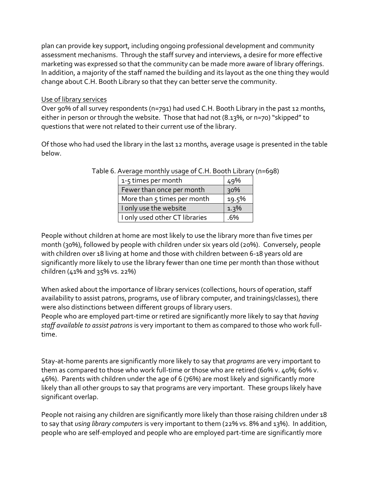plan can provide key support, including ongoing professional development and community assessment mechanisms. Through the staff survey and interviews, a desire for more effective marketing was expressed so that the community can be made more aware of library offerings. In addition, a majority of the staff named the building and its layout as the one thing they would change about C.H. Booth Library so that they can better serve the community.

### Use of library services

Over 90% of all survey respondents (n=791) had used C.H. Booth Library in the past 12 months, either in person or through the website. Those that had not (8.13%, or n=70) "skipped" to questions that were not related to their current use of the library.

Of those who had used the library in the last 12 months, average usage is presented in the table below.

| 1-5 times per month            | 49%   |
|--------------------------------|-------|
| Fewer than once per month      | 30%   |
| More than 5 times per month    | 19.5% |
| I only use the website         | 1.3%  |
| I only used other CT libraries | .6%   |

Table 6. Average monthly usage of C.H. Booth Library (n=698)

People without children at home are most likely to use the library more than five times per month (30%), followed by people with children under six years old (20%). Conversely, people with children over 18 living at home and those with children between 6-18 years old are significantly more likely to use the library fewer than one time per month than those without children (41% and 35% vs. 22%)

When asked about the importance of library services (collections, hours of operation, staff availability to assist patrons, programs, use of library computer, and trainings/classes), there were also distinctions between different groups of library users.

People who are employed part-time or retired are significantly more likely to say that *having staff available to assist patrons* is very important to them as compared to those who work fulltime.

Stay-at-home parents are significantly more likely to say that *programs* are very important to them as compared to those who work full-time or those who are retired (60% v. 40%; 60% v. 46%). Parents with children under the age of 6 (76%) are most likely and significantly more likely than all other groups to say that programs are very important. These groups likely have significant overlap.

People not raising any children are significantly more likely than those raising children under 18 to say that *using library computers* is very important to them (22% vs. 8% and 13%). In addition, people who are self-employed and people who are employed part-time are significantly more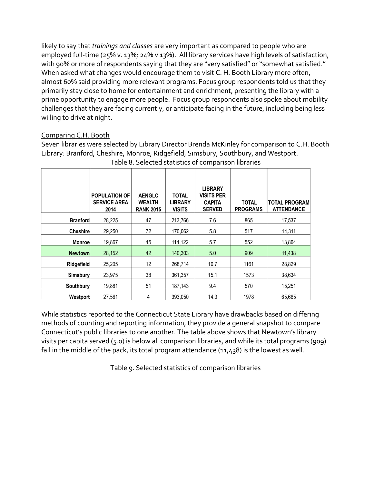likely to say that *trainings and classes* are very important as compared to people who are employed full-time (25% v. 13%; 24% v 13%). All library services have high levels of satisfaction, with 90% or more of respondents saying that they are "very satisfied" or "somewhat satisfied." When asked what changes would encourage them to visit C. H. Booth Library more often, almost 60% said providing more relevant programs. Focus group respondents told us that they primarily stay close to home for entertainment and enrichment, presenting the library with a prime opportunity to engage more people. Focus group respondents also spoke about mobility challenges that they are facing currently, or anticipate facing in the future, including being less willing to drive at night.

# Comparing C.H. Booth

Seven libraries were selected by Library Director Brenda McKinley for comparison to C.H. Booth Library: Branford, Cheshire, Monroe, Ridgefield, Simsbury, Southbury, and Westport. Table 8. Selected statistics of comparison libraries

|                 | <b>POPULATION OF</b><br><b>SERVICE AREA</b><br>2014 | <b>AENGLC</b><br><b>WEALTH</b><br><b>RANK 2015</b> | <b>TOTAL</b><br><b>LIBRARY</b><br><b>VISITS</b> | <b>LIBRARY</b><br><b>VISITS PER</b><br><b>CAPITA</b><br><b>SERVED</b> | <b>TOTAL</b><br><b>PROGRAMS</b> | <b>TOTAL PROGRAM</b><br><b>ATTENDANCE</b> |
|-----------------|-----------------------------------------------------|----------------------------------------------------|-------------------------------------------------|-----------------------------------------------------------------------|---------------------------------|-------------------------------------------|
| <b>Branford</b> | 28,225                                              | 47                                                 | 213,766                                         | 7.6                                                                   | 865                             | 17,537                                    |
| Cheshire        | 29,250                                              | 72                                                 | 170,062                                         | 5.8                                                                   | 517                             | 14,311                                    |
| <b>Monroe</b>   | 19,867                                              | 45                                                 | 114,122                                         | 5.7                                                                   | 552                             | 13,864                                    |
| <b>Newtown</b>  | 28,152                                              | 42                                                 | 140,303                                         | 5.0                                                                   | 909                             | 11,438                                    |
| Ridgefield      | 25,205                                              | 12                                                 | 268,714                                         | 10.7                                                                  | 1161                            | 28,829                                    |
| Simsbury        | 23.975                                              | 38                                                 | 361,357                                         | 15.1                                                                  | 1573                            | 38,634                                    |
| Southbury       | 19,881                                              | 51                                                 | 187,143                                         | 9.4                                                                   | 570                             | 15,251                                    |
| Westport        | 27,561                                              | 4                                                  | 393,050                                         | 14.3                                                                  | 1978                            | 65,665                                    |

While statistics reported to the Connecticut State Library have drawbacks based on differing methods of counting and reporting information, they provide a general snapshot to compare Connecticut's public libraries to one another. The table above shows that Newtown's library visits per capita served (5.0) is below all comparison libraries, and while its total programs (909) fall in the middle of the pack, its total program attendance (11,438) is the lowest as well.

Table 9. Selected statistics of comparison libraries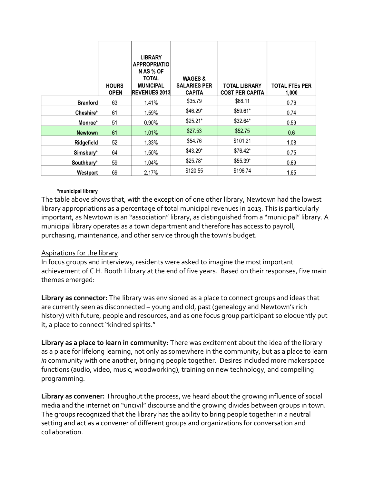|                 | <b>HOURS</b><br><b>OPEN</b> | <b>LIBRARY</b><br><b>APPROPRIATIO</b><br>N AS % OF<br><b>TOTAL</b><br><b>MUNICIPAL</b><br><b>REVENUES 2013</b> | <b>WAGES &amp;</b><br><b>SALARIES PER</b><br><b>CAPITA</b> | <b>TOTAL LIBRARY</b><br><b>COST PER CAPITA</b> | <b>TOTAL FTES PER</b><br>1,000 |
|-----------------|-----------------------------|----------------------------------------------------------------------------------------------------------------|------------------------------------------------------------|------------------------------------------------|--------------------------------|
| <b>Branford</b> | 63                          | 1.41%                                                                                                          | \$35.79                                                    | \$68.11                                        | 0.76                           |
| Cheshire*       | 61                          | 1.59%                                                                                                          | \$46.29*                                                   | \$59.61*                                       | 0.74                           |
| Monroe*         | 51                          | $0.90\%$                                                                                                       | $$25.21*$                                                  | \$32.64*                                       | 0.59                           |
| <b>Newtown</b>  | 61                          | 1.01%                                                                                                          | \$27.53                                                    | \$52.75                                        | 0.6                            |
| Ridgefield      | 52                          | 1.33%                                                                                                          | \$54.76                                                    | \$101.21                                       | 1.08                           |
| Simsbury*       | 64                          | 1.50%                                                                                                          | $$43.29*$                                                  | \$76.42*                                       | 0.75                           |
| Southbury*      | 59                          | 1.04%                                                                                                          | $$25.78*$                                                  | \$55.39*                                       | 0.69                           |
| Westport        | 69                          | 2.17%                                                                                                          | \$120.55                                                   | \$196.74                                       | 1.65                           |

#### \*municipal library

The table above shows that, with the exception of one other library, Newtown had the lowest library appropriations as a percentage of total municipal revenues in 2013. This is particularly important, as Newtown is an "association" library, as distinguished from a "municipal" library. A municipal library operates as a town department and therefore has access to payroll, purchasing, maintenance, and other service through the town's budget.

### Aspirations for the library

In focus groups and interviews, residents were asked to imagine the most important achievement of C.H. Booth Library at the end of five years. Based on their responses, five main themes emerged:

**Library as connector:** The library was envisioned as a place to connect groups and ideas that are currently seen as disconnected – young and old, past (genealogy and Newtown's rich history) with future, people and resources, and as one focus group participant so eloquently put it, a place to connect "kindred spirits."

**Library as a place to learn in community:** There was excitement about the idea of the library as a place for lifelong learning, not only as somewhere in the community, but as a place to learn *in* community with one another, bringing people together. Desires included more makerspace functions (audio, video, music, woodworking), training on new technology, and compelling programming.

**Library as convener:** Throughout the process, we heard about the growing influence of social media and the internet on "uncivil" discourse and the growing divides between groups in town. The groups recognized that the library has the ability to bring people together in a neutral setting and act as a convener of different groups and organizations for conversation and collaboration.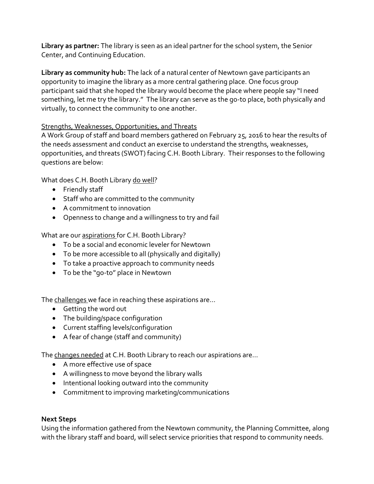**Library as partner:** The library is seen as an ideal partner for the school system, the Senior Center, and Continuing Education.

**Library as community hub:** The lack of a natural center of Newtown gave participants an opportunity to imagine the library as a more central gathering place. One focus group participant said that she hoped the library would become the place where people say "I need something, let me try the library." The library can serve as the go-to place, both physically and virtually, to connect the community to one another.

# Strengths, Weaknesses, Opportunities, and Threats

A Work Group of staff and board members gathered on February 25, 2016 to hear the results of the needs assessment and conduct an exercise to understand the strengths, weaknesses, opportunities, and threats (SWOT) facing C.H. Booth Library. Their responses to the following questions are below:

What does C.H. Booth Library do well?

- Friendly staff
- Staff who are committed to the community
- A commitment to innovation
- Openness to change and a willingness to try and fail

What are our aspirations for C.H. Booth Library?

- To be a social and economic leveler for Newtown
- To be more accessible to all (physically and digitally)
- To take a proactive approach to community needs
- To be the "go-to" place in Newtown

The challenges we face in reaching these aspirations are...

- Getting the word out
- The building/space configuration
- Current staffing levels/configuration
- A fear of change (staff and community)

The changes needed at C.H. Booth Library to reach our aspirations are...

- A more effective use of space
- A willingness to move beyond the library walls
- Intentional looking outward into the community
- Commitment to improving marketing/communications

# **Next Steps**

Using the information gathered from the Newtown community, the Planning Committee, along with the library staff and board, will select service priorities that respond to community needs.